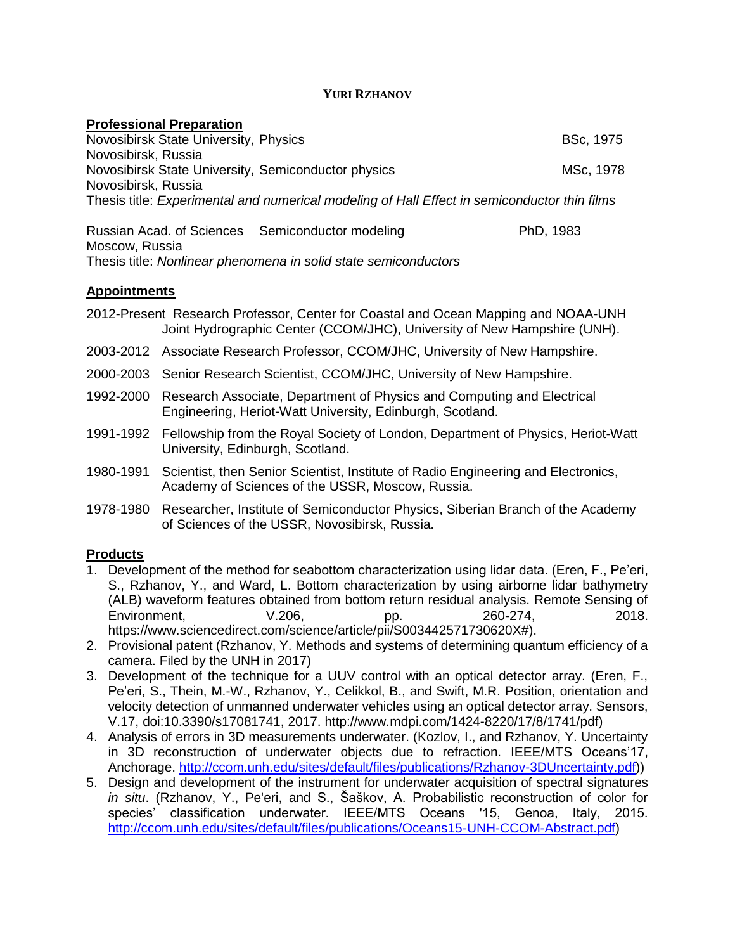## **YURI RZHANOV**

| <b>BSc, 1975</b>                                                                             |
|----------------------------------------------------------------------------------------------|
|                                                                                              |
| MSc, 1978                                                                                    |
|                                                                                              |
| Thesis title: Experimental and numerical modeling of Hall Effect in semiconductor thin films |
|                                                                                              |
|                                                                                              |

Russian Acad. of Sciences Semiconductor modeling PhD, 1983 Moscow, Russia Thesis title: *Nonlinear phenomena in solid state semiconductors*

## **Appointments**

- 2012-Present Research Professor, Center for Coastal and Ocean Mapping and NOAA-UNH Joint Hydrographic Center (CCOM/JHC), University of New Hampshire (UNH).
- 2003-2012 Associate Research Professor, CCOM/JHC, University of New Hampshire.
- 2000-2003 Senior Research Scientist, CCOM/JHC, University of New Hampshire.
- 1992-2000 Research Associate, Department of Physics and Computing and Electrical Engineering, Heriot-Watt University, Edinburgh, Scotland.
- 1991-1992 Fellowship from the Royal Society of London, Department of Physics, Heriot-Watt University, Edinburgh, Scotland.
- 1980-1991 Scientist, then Senior Scientist, Institute of Radio Engineering and Electronics, Academy of Sciences of the USSR, Moscow, Russia.
- 1978-1980 Researcher, Institute of Semiconductor Physics, Siberian Branch of the Academy of Sciences of the USSR, Novosibirsk, Russia.

## **Products**

- 1. Development of the method for seabottom characterization using lidar data. (Eren, F., Pe'eri, S., Rzhanov, Y., and Ward, L. Bottom characterization by using airborne lidar bathymetry (ALB) waveform features obtained from bottom return residual analysis. Remote Sensing of Environment, V.206, pp. 260-274, 2018. https://www.sciencedirect.com/science/article/pii/S003442571730620X#).
- 2. Provisional patent (Rzhanov, Y. Methods and systems of determining quantum efficiency of a camera. Filed by the UNH in 2017)
- 3. Development of the technique for a UUV control with an optical detector array. (Eren, F., Pe'eri, S., Thein, M.-W., Rzhanov, Y., Celikkol, B., and Swift, M.R. Position, orientation and velocity detection of unmanned underwater vehicles using an optical detector array. Sensors, V.17, doi:10.3390/s17081741, 2017. http://www.mdpi.com/1424-8220/17/8/1741/pdf)
- 4. Analysis of errors in 3D measurements underwater. (Kozlov, I., and Rzhanov, Y. Uncertainty in 3D reconstruction of underwater objects due to refraction. IEEE/MTS Oceans'17, Anchorage. [http://ccom.unh.edu/sites/default/files/publications/Rzhanov-3DUncertainty.pdf\)](http://ccom.unh.edu/sites/default/files/publications/Rzhanov-3DUncertainty.pdf))
- 5. Design and development of the instrument for underwater acquisition of spectral signatures *in situ*. (Rzhanov, Y., Pe'eri, and S., Šaškov, A. Probabilistic reconstruction of color for species' classification underwater. IEEE/MTS Oceans '15, Genoa, Italy, 2015. [http://ccom.unh.edu/sites/default/files/publications/Oceans15-UNH-CCOM-Abstract.pdf\)](http://ccom.unh.edu/sites/default/files/publications/Oceans15-UNH-CCOM-Abstract.pdf)